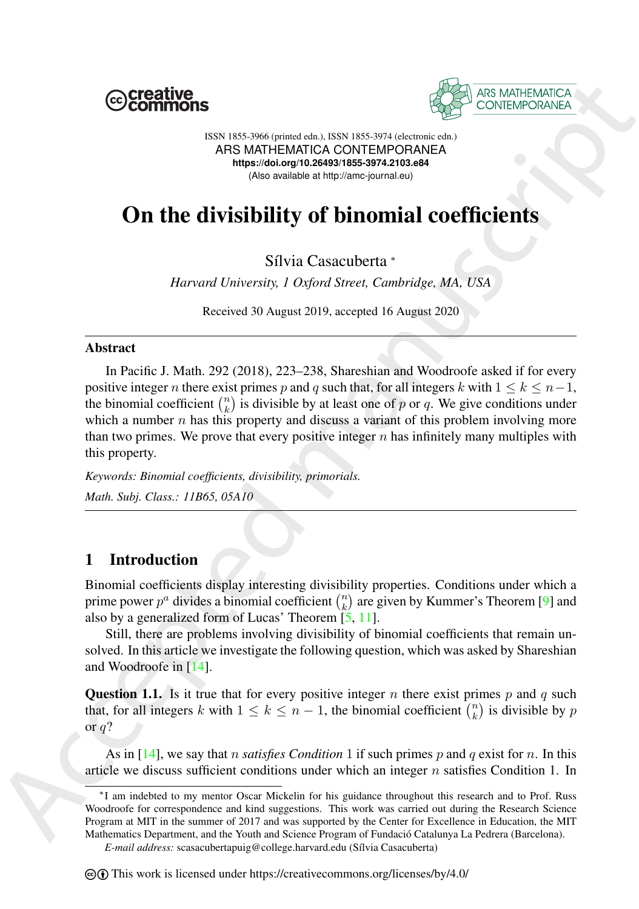



ISSN 1855-3966 (printed edn.), ISSN 1855-3974 (electronic edn.) ARS MATHEMATICA CONTEMPORANEA **https://doi.org/10.26493/1855-3974.2103.e84** (Also available at http://amc-journal.eu)

# On the divisibility of binomial coefficients

Sílvia Casacuberta \*

*Harvard University, 1 Oxford Street, Cambridge, MA, USA*

Received 30 August 2019, accepted 16 August 2020

#### Abstract

**EXERCUATE:**<br>
An **EXECUTE CONTENSION CONTENSION** (See FOCUTE CONTENSION)<br>
ASSEMBLED CONTENSION (SEE FOCUTE CONTENSION)<br>
A **BELOM THE CONTENSION CONTENSION** (SEE FOCUTE)<br>
A **BELOM THE CONTENSION (SEE FOCUTE)**<br>
A **BELOM THE** In Pacific J. Math. 292 (2018), 223–238, Shareshian and Woodroofe asked if for every positive integer n there exist primes p and q such that, for all integers k with  $1 \leq k \leq n-1$ , the binomial coefficient  $\binom{n}{k}$  is divisible by at least one of p or q. We give conditions under which a number  $n$  has this property and discuss a variant of this problem involving more than two primes. We prove that every positive integer  $n$  has infinitely many multiples with this property.

*Keywords: Binomial coefficients, divisibility, primorials. Math. Subj. Class.: 11B65, 05A10*

# 1 Introduction

Binomial coefficients display interesting divisibility properties. Conditions under which a prime power  $p^a$  divides a binomial coefficient  $\binom{n}{k}$  are given by Kummer's Theorem [9] and also by a generalized form of Lucas' Theorem [5, 11].

Still, there are problems involving divisibility of binomial coefficients that remain unsolved. In this article we investigate the following question, which was asked by Shareshian and Woodroofe in [14].

<span id="page-0-0"></span>**Question 1.1.** Is it true that for every positive integer n there exist primes p and q such that, for all integers k with  $1 \leq k \leq n-1$ , the binomial coefficient  $\binom{n}{k}$  is divisible by p or  $q$ ?

As in [14], we say that n *satisfies Condition* 1 if such primes p and q exist for n. In this article we discuss sufficient conditions under which an integer  $n$  satisfies Condition 1. In

*E-mail address:* scasacubertapuig@college.harvard.edu (S´ılvia Casacuberta)

<sup>∗</sup>I am indebted to my mentor Oscar Mickelin for his guidance throughout this research and to Prof. Russ Woodroofe for correspondence and kind suggestions. This work was carried out during the Research Science Program at MIT in the summer of 2017 and was supported by the Center for Excellence in Education, the MIT Mathematics Department, and the Youth and Science Program of Fundació Catalunya La Pedrera (Barcelona).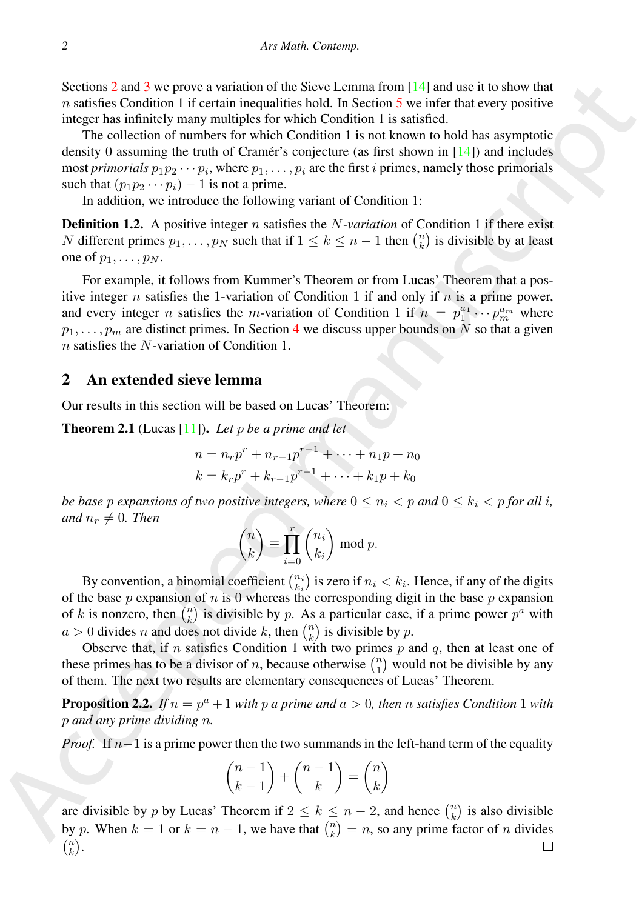Sections 2 and 3 we prove a variation of the Sieve Lemma from [14] and use it to show that  $n$  satisfies Condition 1 if certain inequalities hold. In Section 5 we infer that every positive integer has infinitely many multiples for which Condition 1 is satisfied.

The collection of numbers for which Condition 1 is not known to hold has asymptotic density 0 assuming the truth of Cramér's conjecture (as first shown in  $[14]$ ) and includes most *primorials*  $p_1p_2 \cdots p_i$ , where  $p_1, \ldots, p_i$  are the first *i* primes, namely those primorials such that  $(p_1p_2 \cdots p_i) - 1$  is not a prime.

In addition, we introduce the following variant of Condition 1:

<span id="page-1-1"></span>**Definition 1.2.** A positive integer n satisfies the N-variation of Condition 1 if there exist N different primes  $p_1, \ldots, p_N$  such that if  $1 \leq k \leq n-1$  then  $\binom{n}{k}$  is divisible by at least one of  $p_1, \ldots, p_N$ .

Scalions 2 and 3 we prove available of the Sieve Lemma form [14] and use it to show that<br>
a statistic Condition 1 if cartain inequalities how the Rockman form [14] and use it to show that<br>
integrable integral manuscriptio For example, it follows from Kummer's Theorem or from Lucas' Theorem that a positive integer n satisfies the 1-variation of Condition 1 if and only if n is a prime power, and every integer *n* satisfies the *m*-variation of Condition 1 if  $n = p_1^{a_1} \cdots p_m^{a_m}$  where  $p_1, \ldots, p_m$  are distinct primes. In Section 4 we discuss upper bounds on N so that a given n satisfies the N-variation of Condition 1.

## <span id="page-1-0"></span>2 An extended sieve lemma

Our results in this section will be based on Lucas' Theorem:

Theorem 2.1 (Lucas [11]). *Let* p *be a prime and let*

$$
n = n_r p^r + n_{r-1} p^{r-1} + \dots + n_1 p + n_0
$$
  

$$
k = k_r p^r + k_{r-1} p^{r-1} + \dots + k_1 p + k_0
$$

*be base* p *expansions of two positive integers, where*  $0 \leq n_i < p$  *and*  $0 \leq k_i < p$  *for all i, and*  $n_r \neq 0$ *. Then* 

$$
\binom{n}{k} \equiv \prod_{i=0}^r \binom{n_i}{k_i} \bmod p.
$$

By convention, a binomial coefficient  $\binom{n_i}{k_i}$  is zero if  $n_i < k_i$ . Hence, if any of the digits of the base  $p$  expansion of  $n$  is 0 whereas the corresponding digit in the base  $p$  expansion of k is nonzero, then  $\binom{n}{k}$  is divisible by p. As a particular case, if a prime power  $p^a$  with  $a > 0$  divides *n* and does not divide *k*, then  $\binom{n}{k}$  is divisible by *p*.

Observe that, if  $n$  satisfies Condition 1 with two primes  $p$  and  $q$ , then at least one of these primes has to be a divisor of *n*, because otherwise  $\binom{n}{1}$  would not be divisible by any of them. The next two results are elementary consequences of Lucas' Theorem.

**Proposition 2.2.** *If*  $n = p^a + 1$  *with*  $p$  *a* prime and  $a > 0$ , then  $n$  *satisfies Condition* 1 *with* p *and any prime dividing* n*.*

*Proof.* If  $n-1$  is a prime power then the two summands in the left-hand term of the equality

$$
\binom{n-1}{k-1} + \binom{n-1}{k} = \binom{n}{k}
$$

are divisible by p by Lucas' Theorem if  $2 \le k \le n-2$ , and hence  $\binom{n}{k}$  is also divisible by p. When  $k = 1$  or  $k = n - 1$ , we have that  $\binom{n}{k} = n$ , so any prime factor of n divides  $\binom{n}{k}$ .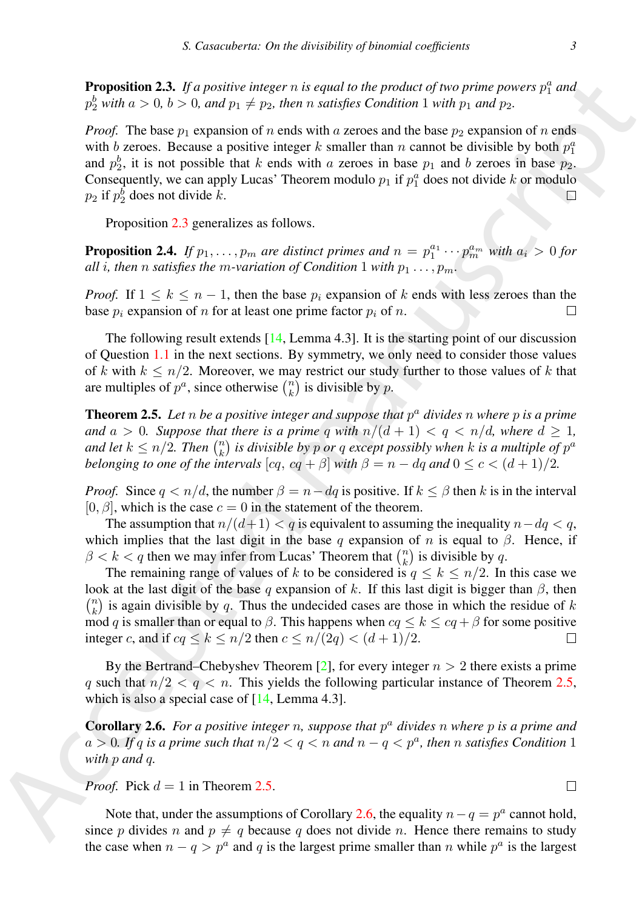<span id="page-2-0"></span>Proposition 2.3. If a positive integer  $n$  is equal to the product of two prime powers  $p_1^a$  and  $p_2^b$  with  $a > 0$ ,  $b > 0$ , and  $p_1 \neq p_2$ , then n satisfies Condition 1 with  $p_1$  and  $p_2$ .

*Proof.* The base  $p_1$  expansion of n ends with a zeroes and the base  $p_2$  expansion of n ends with b zeroes. Because a positive integer k smaller than n cannot be divisible by both  $p_1^a$ and  $p_2^b$ , it is not possible that k ends with a zeroes in base  $p_1$  and b zeroes in base  $p_2$ . Consequently, we can apply Lucas' Theorem modulo  $p_1$  if  $p_1^a$  does not divide k or modulo  $p_2$  if  $p_2^b$  does not divide k.

Proposition 2.3 generalizes as follows.

**Proposition 2.4.** If  $p_1, \ldots, p_m$  are distinct primes and  $n = p_1^{a_1} \cdots p_m^{a_m}$  with  $a_i > 0$  for *all i*, then *n satisfies the m*-variation of Condition 1 with  $p_1 \ldots, p_m$ .

*Proof.* If  $1 \leq k \leq n-1$ , then the base  $p_i$  expansion of k ends with less zeroes than the base  $p_i$  expansion of n for at least one prime factor  $p_i$  of n.

The following result extends [14, Lemma 4.3]. It is the starting point of our discussion of Question 1.1 in the next sections. By symmetry, we only need to consider those values of k with  $k \leq n/2$ . Moreover, we may restrict our study further to those values of k that are multiples of  $p^a$ , since otherwise  $\binom{n}{k}$  is divisible by p.

<span id="page-2-1"></span>Theorem 2.5. *Let* n *be a positive integer and suppose that* p <sup>a</sup> *divides* n *where* p *is a prime and*  $a > 0$ *. Suppose that there is a prime q with*  $n/(d+1) < q < n/d$ *, where*  $d \ge 1$ *,* and let  $k \leq n/2$ . Then  $\binom{n}{k}$  is divisible by p or q except possibly when k is a multiple of  $p^a$ *belonging to one of the intervals*  $[cq, cq + β]$  *with*  $β = n - dq$  *and*  $0 ≤ c < (d + 1)/2$ *.* 

*Proof.* Since  $q < n/d$ , the number  $\beta = n-dq$  is positive. If  $k \le \beta$  then k is in the interval  $[0, \beta]$ , which is the case  $c = 0$  in the statement of the theorem.

The assumption that  $n/(d+1) < q$  is equivalent to assuming the inequality  $n-dq < q$ , which implies that the last digit in the base q expansion of n is equal to  $\beta$ . Hence, if  $\beta < k < q$  then we may infer from Lucas' Theorem that  $\binom{n}{k}$  is divisible by q.

**Proposition 2.3.** (To personic trains the proposition of the proposition of the proposition of  $\alpha$  is the proposition of  $\alpha$  is the proposition of  $\alpha$ . The the proposition of  $\alpha$  is the proposition of  $\alpha$  is the pro The remaining range of values of k to be considered is  $q \leq k \leq n/2$ . In this case we look at the last digit of the base q expansion of k. If this last digit is bigger than  $\beta$ , then  $\binom{n}{k}$  is again divisible by q. Thus the undecided cases are those in which the residue of k mod q is smaller than or equal to  $\beta$ . This happens when  $cq \leq k \leq cq + \beta$  for some positive integer c, and if  $cq \le k \le n/2$  then  $c \le n/(2q) < (d+1)/2$ .

By the Bertrand–Chebyshev Theorem [2], for every integer  $n > 2$  there exists a prime q such that  $n/2 < q < n$ . This yields the following particular instance of Theorem 2.5, which is also a special case of  $[14, \text{Lemma } 4.3]$ .

<span id="page-2-2"></span>Corollary 2.6. *For a positive integer* n*, suppose that* p <sup>a</sup> *divides* n *where* p *is a prime and*  $a > 0$ . If q is a prime such that  $n/2 < q < n$  and  $n - q < p<sup>a</sup>$ , then n satisfies Condition 1 *with* p *and* q*.*

*Proof.* Pick  $d = 1$  in Theorem 2.5.

Note that, under the assumptions of Corollary 2.6, the equality  $n - q = p^a$  cannot hold, since p divides n and  $p \neq q$  because q does not divide n. Hence there remains to study the case when  $n - q > p^a$  and q is the largest prime smaller than n while  $p^a$  is the largest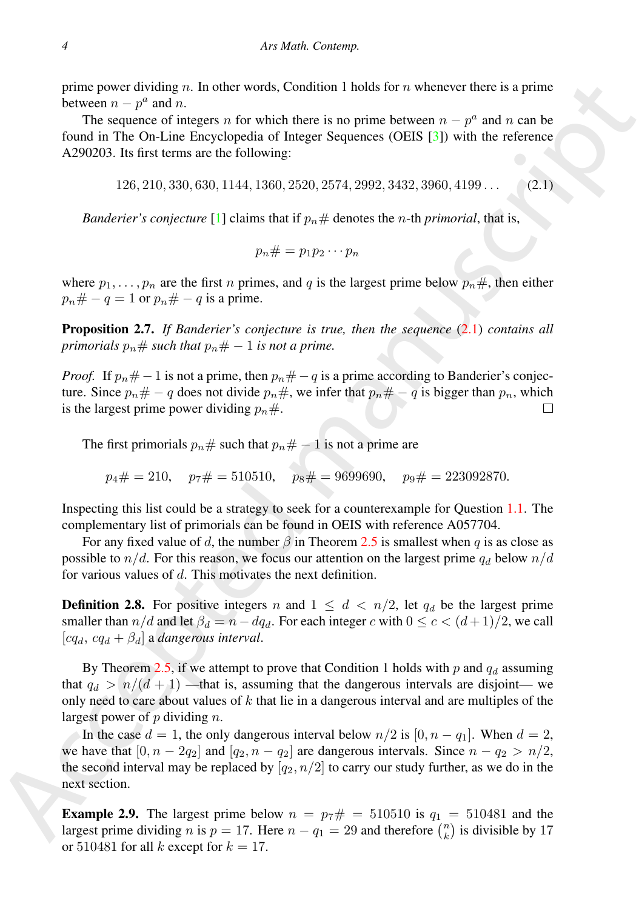prime power dividing n. In other words, Condition 1 holds for n whenever there is a prime between  $n - p^a$  and n.

The sequence of integers n for which there is no prime between  $n - p^a$  and n can be found in The On-Line Encyclopedia of Integer Sequences (OEIS [3]) with the reference A290203. Its first terms are the following:

<span id="page-3-0"></span>126, 210, 330, 630, 1144, 1360, 2520, 2574, 2992, 3432, 3960, 4199 . . . (2.1)

*Banderier's conjecture* [1] claims that if  $p_n \#$  denotes the *n*-th *primorial*, that is,

$$
p_n\# = p_1p_2\cdots p_n
$$

where  $p_1, \ldots, p_n$  are the first n primes, and q is the largest prime below  $p_n \#$ , then either  $p_n \# -q = 1$  or  $p_n \# -q$  is a prime.

Proposition 2.7. *If Banderier's conjecture is true, then the sequence* (2.1) *contains all primorials*  $p_n \#$  *such that*  $p_n \# -1$  *is not a prime.* 

*Proof.* If  $p_n \neq -1$  is not a prime, then  $p_n \neq -q$  is a prime according to Banderier's conjecture. Since  $p_n \# -q$  does not divide  $p_n \#$ , we infer that  $p_n \# -q$  is bigger than  $p_n$ , which is the largest prime power dividing  $p_n \#$ .

The first primorials  $p_n \#$  such that  $p_n \# -1$  is not a prime are

$$
p_4# = 210
$$
,  $p_7# = 510510$ ,  $p_8# = 9699690$ ,  $p_9# = 223092870$ .

Inspecting this list could be a strategy to seek for a counterexample for Question 1.1. The complementary list of primorials can be found in OEIS with reference A057704.

For any fixed value of d, the number  $\beta$  in Theorem 2.5 is smallest when q is as close as possible to  $n/d$ . For this reason, we focus our attention on the largest prime  $q_d$  below  $n/d$ . for various values of d. This motivates the next definition.

**Definition 2.8.** For positive integers n and  $1 \leq d \leq n/2$ , let  $q_d$  be the largest prime smaller than  $n/d$  and let  $\beta_d = n - dq_d$ . For each integer c with  $0 \leq c < (d+1)/2$ , we call  $[cq_d, cq_d + β_d]$  a *dangerous interval*.

By Theorem 2.5, if we attempt to prove that Condition 1 holds with p and  $q_d$  assuming that  $q_d > n/(d+1)$  —that is, assuming that the dangerous intervals are disjoint— we only need to care about values of  $k$  that lie in a dangerous interval and are multiples of the largest power of  $p$  dividing  $n$ .

pime power dividing on. In other words, Condition 1 holds for *x* whenever these is a prime<br>
Fixeveca me  $p^2$  and n.<br>
The seq[u](#page-3-0)ence of integers a for which there is a points between me -  $p^2$  and s and be<br>
from all The O In the case  $d = 1$ , the only dangerous interval below  $n/2$  is  $[0, n - q_1]$ . When  $d = 2$ , we have that  $[0, n - 2q_2]$  and  $[q_2, n - q_2]$  are dangerous intervals. Since  $n - q_2 > n/2$ , the second interval may be replaced by  $[q_2, n/2]$  to carry our study further, as we do in the next section.

**Example 2.9.** The largest prime below  $n = p_7 \# = 510510$  is  $q_1 = 510481$  and the largest prime dividing *n* is  $p = 17$ . Here  $n - q_1 = 29$  and therefore  $\binom{n}{k}$  is divisible by 17 or 510481 for all k except for  $k = 17$ .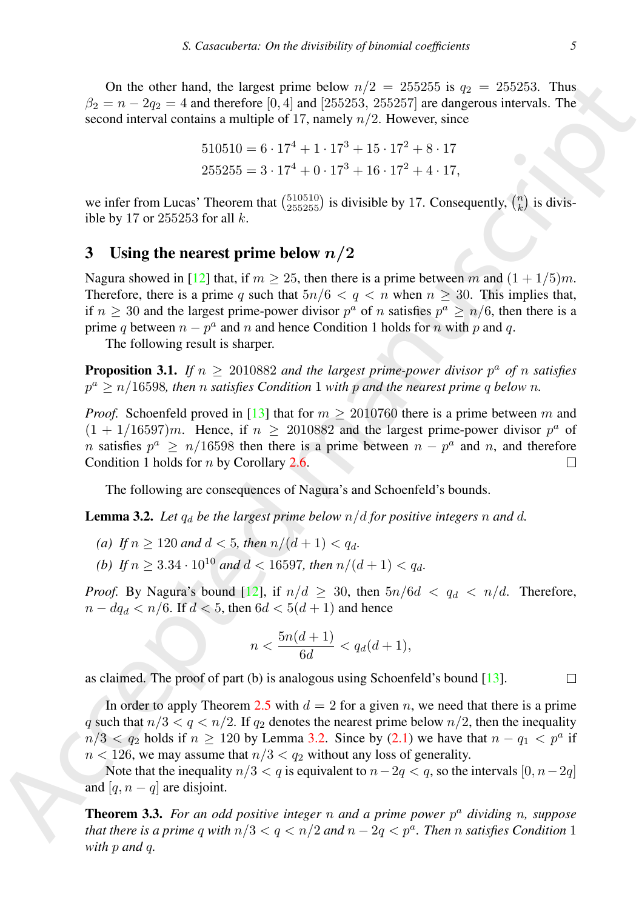On the other hand, the largest prime below  $n/2 = 255255$  is  $q_2 = 255253$ . Thus  $\beta_2 = n - 2q_2 = 4$  and therefore [0, 4] and [255253, 255257] are dangerous intervals. The second interval contains a multiple of 17, namely  $n/2$ . However, since

$$
510510 = 6 \cdot 17^4 + 1 \cdot 17^3 + 15 \cdot 17^2 + 8 \cdot 17
$$
  

$$
255255 = 3 \cdot 17^4 + 0 \cdot 17^3 + 16 \cdot 17^2 + 4 \cdot 17,
$$

we infer from Lucas' Theorem that  $\binom{510510}{255255}$  is divisible by 17. Consequently,  $\binom{n}{k}$  is divisible by 17 or  $255253$  for all  $k$ .

# <span id="page-4-0"></span>3 Using the nearest prime below  $n/2$

Nagura showed in [12] that, if  $m \ge 25$ , then there is a prime between m and  $(1 + 1/5)m$ . Therefore, there is a prime q such that  $5n/6 < q < n$  when  $n \geq 30$ . This implies that, if  $n \geq 30$  and the largest prime-power divisor  $p^a$  of n satisfies  $p^a \geq n/6$ , then there is a prime q between  $n - p^a$  and n and hence Condition 1 holds for n with p and q.

The following result is sharper.

**Proposition 3.1.** If  $n \geq 2010882$  and the largest prime-power divisor  $p^a$  of n satisfies  $p^a \geq n/16598$ , then *n* satisfies Condition 1 with *p* and the nearest prime q below *n*.

On th[e](#page-12-3) other hand, the largest prince below  $n/2 = 25/25/3$ . For a section is a [m](#page-2-2)atter of the second interval contains a multiplie of  $V$ , and  $n/2 = 25/3$ . Thus,  $n/2 = 25/32$ . Thus,  $n/2 = 25/32$  and  $n/2 = 3 \times 17$ .  $10 \times 17$ *Proof.* Schoenfeld proved in [13] that for  $m \ge 2010760$  there is a prime between m and  $(1 + 1/16597)m$ . Hence, if  $n \ge 2010882$  and the largest prime-power divisor  $p^a$  of n satisfies  $p^a \ge n/16598$  then there is a prime between  $n - p^a$  and n, and therefore Condition 1 holds for  $n$  by Corollary 2.6.

The following are consequences of Nagura's and Schoenfeld's bounds.

<span id="page-4-1"></span>**Lemma 3.2.** Let  $q_d$  be the largest prime below  $n/d$  for positive integers n and d.

- *(a) If*  $n \ge 120$  *and*  $d < 5$ *, then*  $n/(d+1) < q_d$ *.*
- *(b) If*  $n \geq 3.34 \cdot 10^{10}$  *and*  $d < 16597$ *, then*  $n/(d+1) < q_d$ *.*

*Proof.* By Nagura's bound [12], if  $n/d \ge 30$ , then  $5n/6d < q_d < n/d$ . Therefore,  $n - dq_d < n/6$ . If  $d < 5$ , then  $6d < 5(d+1)$  and hence

$$
n < \frac{5n(d+1)}{6d} < q_d(d+1),
$$

as claimed. The proof of part (b) is analogous using Schoenfeld's bound [13].

In order to apply Theorem 2.5 with  $d = 2$  for a given n, we need that there is a prime q such that  $n/3 < q < n/2$ . If  $q_2$  denotes the nearest prime below  $n/2$ , then the inequality  $n/3 < q_2$  holds if  $n \ge 120$  by Lemma 3.2. Since by (2.1) we have that  $n - q_1 < p^a$  if  $n < 126$ , we may assume that  $n/3 < q_2$  without any loss of generality.

Note that the inequality  $n/3 < q$  is equivalent to  $n-2q < q$ , so the intervals  $[0, n-2q]$ and  $[q, n - q]$  are disjoint.

Theorem 3.3. *For an odd positive integer* n *and a prime power* p <sup>a</sup> *dividing* n*, suppose that there is a prime q with*  $n/3 < q < n/2$  *and*  $n-2q < p^a$ . *Then n satisfies Condition* 1 *with* p *and* q*.*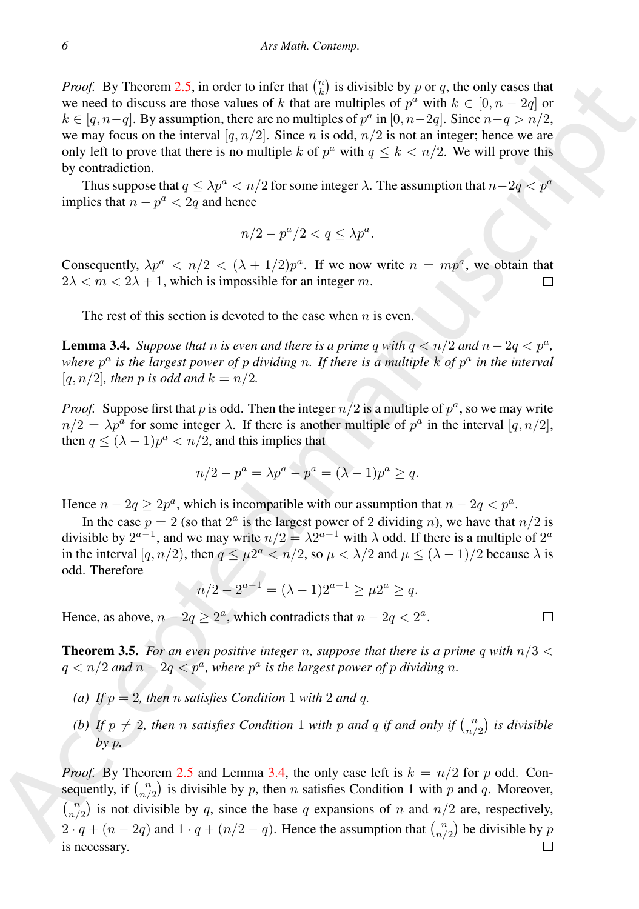Poof. By Theorem 2.5, in order to infer that ((i) is divisible by  $p \alpha$ , the case that  $\alpha = 2q \le p$ ,  $\alpha = 2q$  or<br>we need to discuss as: those values of  $k$  that are multiples of  $p^k$  with  $k \in [0, n-2q]$  or<br> $k \in [0, n-2]$  for *Proof.* By Theorem 2.5, in order to infer that  $\binom{n}{k}$  is divisible by p or q, the only cases that we need to discuss are those values of k that are multiples of  $p^a$  with  $k \in [0, n-2q]$  or  $k \in [q, n-q]$ . By assumption, there are no multiples of  $p^a$  in  $[0, n-2q]$ . Since  $n-q > n/2$ , we may focus on the interval [q,  $n/2$ ]. Since n is odd,  $n/2$  is not an integer; hence we are only left to prove that there is no multiple k of  $p^a$  with  $q \leq k < n/2$ . We will prove this by contradiction.

Thus suppose that  $q \leq \lambda p^a < n/2$  for some integer  $\lambda$ . The assumption that  $n-2q < p^a$ implies that  $n - p^a < 2q$  and hence

$$
n/2 - p^a/2 < q \le \lambda p^a.
$$

Consequently,  $\lambda p^a \leq n/2 \leq (\lambda + 1/2)p^a$ . If we now write  $n = mp^a$ , we obtain that  $2\lambda < m < 2\lambda + 1$ , which is impossible for an integer m.

The rest of this section is devoted to the case when  $n$  is even.

<span id="page-5-0"></span>**Lemma 3.4.** *Suppose that n is even and there is a prime q with*  $q < n/2$  *and*  $n - 2q < p^a$ *,* where  $p^a$  is the largest power of p dividing n. If there is a multiple  $k$  of  $p^a$  in the interval [ $q, n/2$ ]*, then* p is odd and  $k = n/2$ .

*Proof.* Suppose first that p is odd. Then the integer  $n/2$  is a multiple of  $p^a$ , so we may write  $n/2 = \lambda p^a$  for some integer  $\lambda$ . If there is another multiple of  $p^a$  in the interval  $[q, n/2]$ , then  $q \leq (\lambda - 1)p^a < n/2$ , and this implies that

$$
n/2 - p^{a} = \lambda p^{a} - p^{a} = (\lambda - 1)p^{a} \ge q.
$$

Hence  $n - 2q \ge 2p^a$ , which is incompatible with our assumption that  $n - 2q < p^a$ .

In the case  $p = 2$  (so that  $2^a$  is the largest power of 2 dividing *n*), we have that  $n/2$  is divisible by  $2^{a-1}$ , and we may write  $n/2 = \lambda 2^{a-1}$  with  $\lambda$  odd. If there is a multiple of  $2^a$ in the interval  $[q, n/2)$ , then  $q \leq \mu 2^a < n/2$ , so  $\mu < \lambda/2$  and  $\mu \leq (\lambda - 1)/2$  because  $\lambda$  is odd. Therefore

$$
n/2 - 2^{a-1} = (\lambda - 1)2^{a-1} \ge \mu 2^a \ge q.
$$

Hence, as above,  $n - 2q \ge 2^a$ , which contradicts that  $n - 2q < 2^a$ .

<span id="page-5-1"></span>**Theorem 3.5.** For an even positive integer n, suppose that there is a prime q with  $n/3 <$  $q < n/2$  and  $n - 2q < p^a$ , where  $p^a$  is the largest power of p dividing n.

- *(a) If*  $p = 2$ *, then n satisfies Condition* 1 *with* 2 *and q.*
- *(b)* If  $p \neq 2$ , then n satisfies Condition 1 with p and q if and only if  $\binom{n}{n/2}$  is divisible *by* p*.*

*Proof.* By Theorem 2.5 and Lemma 3.4, the only case left is  $k = n/2$  for p odd. Consequently, if  $\binom{n}{n/2}$  is divisible by p, then n satisfies Condition 1 with p and q. Moreover,  $\binom{n}{n/2}$  is not divisible by q, since the base q expansions of n and  $n/2$  are, respectively,  $2 \cdot q + (n-2q)$  and  $1 \cdot q + (n/2 - q)$ . Hence the assumption that  $\binom{n}{n/2}$  be divisible by p is necessary.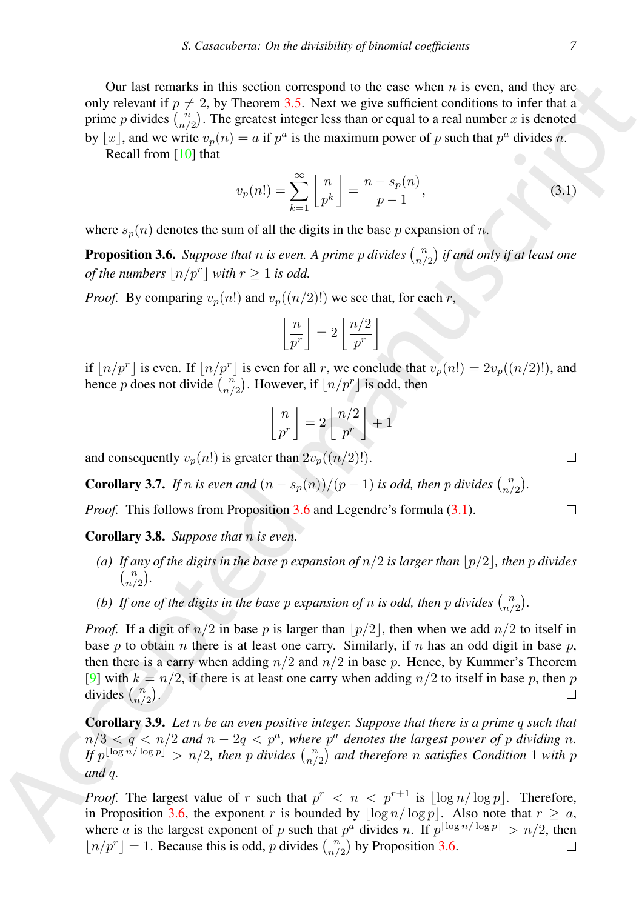Our last remarks in this section correspond to the case when  $n$  is even, and they are only relevant if  $p \neq 2$ , by Theorem 3.5. Next we give sufficient conditions to infer that a prime p divides  $\binom{n}{n/2}$ . The greatest integer less than or equal to a real number x is denoted by  $\lfloor x \rfloor$ , and we write  $v_p(n) = a$  if  $p^a$  is the maximum power of p such that  $p^a$  divides n. Recall from [10] that

<span id="page-6-1"></span>
$$
v_p(n!) = \sum_{k=1}^{\infty} \left\lfloor \frac{n}{p^k} \right\rfloor = \frac{n - s_p(n)}{p - 1},
$$
\n(3.1)

where  $s_n(n)$  denotes the sum of all the digits in the base p expansion of n.

<span id="page-6-0"></span>**Proposition 3.6.** Suppose that  $n$  is even. A prime  $p$  divides  $\binom{n}{n/2}$  if and only if at least one *of the numbers*  $\lfloor n/p^r \rfloor$  *with*  $r \ge 1$  *is odd.* 

*Proof.* By comparing  $v_p(n!)$  and  $v_p((n/2)!)$  we see that, for each r,

$$
\left\lfloor \frac{n}{p^r} \right\rfloor = 2 \left\lfloor \frac{n/2}{p^r} \right\rfloor
$$

if  $\lfloor n/p^r \rfloor$  is even. If  $\lfloor n/p^r \rfloor$  is even for all r, we conclude that  $v_p(n!) = 2v_p((n/2)!)$ , and hence p does not divide  $\binom{n}{n/2}$ . However, if  $\lfloor n/p^r \rfloor$  is odd, then

$$
\left\lfloor \frac{n}{p^r} \right\rfloor = 2 \left\lfloor \frac{n/2}{p^r} \right\rfloor + 1
$$

and consequently  $v_p(n!)$  is greater than  $2v_p((n/2)!)$ .

**Corollary 3.7.** If n is even and  $(n - s_p(n))/(p - 1)$  is odd, then p divides  $\binom{n}{n/2}$ .

*Proof.* This follows from Proposition 3.6 and Legendre's formula (3.1).

Corollary 3.8. *Suppose that* n *is even.*

- *(a)* If any of the digits in the base p expansion of  $n/2$  is larger than  $|p/2|$ , then p divides  $\binom{n}{n/2}$ .
- *(b)* If one of the digits in the base p expansion of n is odd, then p divides  $\binom{n}{n/2}$ .

One list transits in this section consequent to the case when a is exert, an[d](#page-6-0) they are<br>
only related in  $\int_{\gamma}^{2} P_{\gamma}(\gamma) \cos \gamma$  and the case when the case when  $\gamma$  is the manuscript of the sign of  $\gamma$  is the particular *Proof.* If a digit of  $n/2$  in base p is larger than  $|p/2|$ , then when we add  $n/2$  to itself in base p to obtain n there is at least one carry. Similarly, if n has an odd digit in base p, then there is a carry when adding  $n/2$  and  $n/2$  in base p. Hence, by Kummer's Theorem [9] with  $k = n/2$ , if there is at least one carry when adding  $n/2$  to itself in base p, then p divides  $\binom{n}{n/2}$ .

Corollary 3.9. *Let* n *be an even positive integer. Suppose that there is a prime* q *such that*  $n/3 < q < n/2$  and  $n-2q < p^a$ , where  $p^a$  denotes the largest power of p dividing n. If  $p^{\lfloor \log n/\log p \rfloor} > n/2$ , then p divides  $\binom{n}{n/2}$  and therefore n satisfies Condition 1 with p *and* q*.*

*Proof.* The largest value of r such that  $p^r < n < p^{r+1}$  is  $\lfloor \log n / \log p \rfloor$ . Therefore, in Proposition 3.6, the exponent r is bounded by  $\lfloor \log n / \log p \rfloor$ . Also note that  $r \ge a$ , where a is the largest exponent of p such that  $p^a$  divides n. If  $p^{\lfloor \log n / \log p \rfloor} > n/2$ , then  $\lfloor n/p^r \rfloor = 1$ . Because this is odd, p divides  $\binom{n}{n/2}$  by Proposition [3.6.](#page-6-0)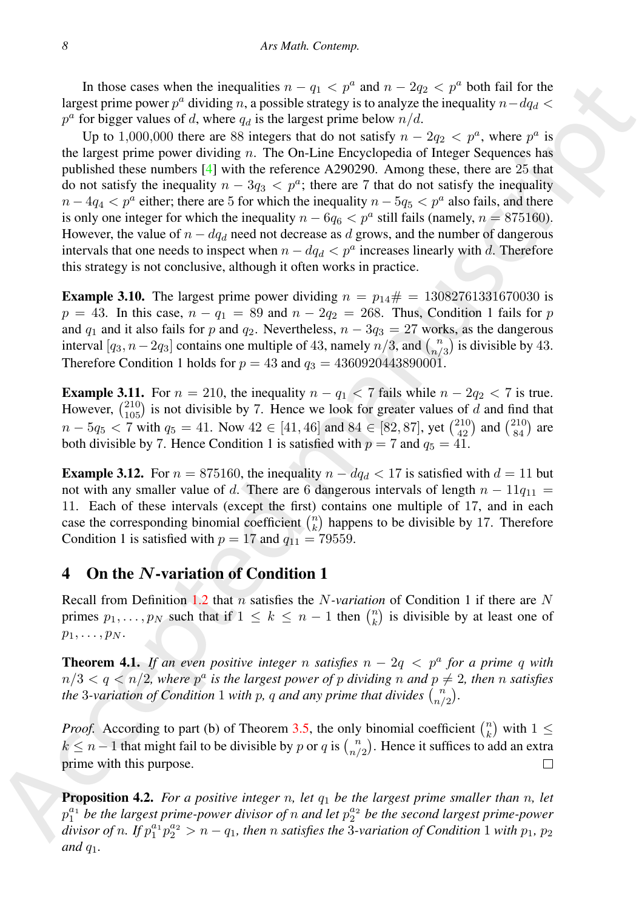In those cases when the inequalities  $n - q_1 < p^a$  and  $n - 2q_2 < p^a$  both fail for the largest prime power  $p^a$  dividing n, a possible strategy is to analyze the inequality  $n-dq_d <$  $p^a$  for bigger values of d, where  $q_d$  is the largest prime below  $n/d$ .

In those cases when the inequalities o  $-a_1 \ge \rho$  and  $a_2 \ge \rho$  and both fail for the space particles of A when fail for the space of the space of the space of  $a_1 \ge \rho_1$  and  $a_2 \ge \rho$ . To the space the space that in the Up to 1,000,000 there are 88 integers that do not satisfy  $n - 2q_2 < p^a$ , where  $p^a$  is the largest prime power dividing  $n$ . The On-Line Encyclopedia of Integer Sequences has published these numbers [4] with the reference A290290. Among these, there are 25 that do not satisfy the inequality  $n - 3q_3 < p^a$ ; there are 7 that do not satisfy the inequality  $n - 4q_4 < p^a$  either; there are 5 for which the inequality  $n - 5q_5 < p^a$  also fails, and there is only one integer for which the inequality  $n - 6q_6 < p^a$  still fails (namely,  $n = 875160$ ). However, the value of  $n - dq_d$  need not decrease as d grows, and the number of dangerous intervals that one needs to inspect when  $n - dq_d < p^a$  increases linearly with d. Therefore this strategy is not conclusive, although it often works in practice.

**Example 3.10.** The largest prime power dividing  $n = p_{14} \# = 13082761331670030$  is  $p = 43$ . In this case,  $n - q_1 = 89$  and  $n - 2q_2 = 268$ . Thus, Condition 1 fails for p and  $q_1$  and it also fails for p and  $q_2$ . Nevertheless,  $n - 3q_3 = 27$  works, as the dangerous interval  $[q_3, n - 2q_3]$  contains one multiple of 43, namely  $n/3$ , and  $\binom{n}{n/3}$  is divisible by 43. Therefore Condition 1 holds for  $p = 43$  and  $q_3 = 4360920443890001$ .

**Example 3.11.** For  $n = 210$ , the inequality  $n - q_1 < 7$  fails while  $n - 2q_2 < 7$  is true. However,  $\binom{210}{105}$  is not divisible by 7. Hence we look for greater values of d and find that  $n - 5q_5 < 7$  with  $q_5 = 41$ . Now  $42 \in [41, 46]$  and  $84 \in [82, 87]$ , yet  $\binom{210}{42}$  and  $\binom{210}{84}$  are both divisible by 7. Hence Condition 1 is satisfied with  $p = 7$  and  $q_5 = 41$ .

**Example 3.12.** For  $n = 875160$ , the inequality  $n - dq_d < 17$  is satisfied with  $d = 11$  but not with any smaller value of d. There are 6 dangerous intervals of length  $n - 11q_{11} =$ 11. Each of these intervals (except the first) contains one multiple of 17, and in each case the corresponding binomial coefficient  $\binom{n}{k}$  happens to be divisible by 17. Therefore Condition 1 is satisfied with  $p = 17$  and  $q_{11} = 79559$ .

#### <span id="page-7-0"></span>4 On the N-variation of Condition 1

Recall from Definition 1.2 that n satisfies the N*-variation* of Condition 1 if there are N primes  $p_1, \ldots, p_N$  such that if  $1 \leq k \leq n-1$  then  $\binom{n}{k}$  is divisible by at least one of  $p_1, \ldots, p_N$ .

**Theorem 4.1.** If an even positive integer n satisfies  $n - 2q < p^a$  for a prime q with  $n/3 < q < n/2$ , where  $p^a$  is the largest power of p dividing n and  $p \neq 2$ , then n satisfies *the* 3-variation of Condition 1 with p, q and any prime that divides  $\binom{n}{n/2}$ .

*Proof.* According to part (b) of Theorem 3.5, the only binomial coefficient  $\binom{n}{k}$  with  $1 \leq$  $k \leq n-1$  that might fail to be divisible by p or q is  $\binom{n}{n/2}$ . Hence it suffices to add an extra prime with this purpose.

<span id="page-7-1"></span>**Proposition 4.2.** *For a positive integer n, let*  $q_1$  *be the largest prime smaller than n, let*  $p_1^{a_1}$  be the largest prime-power divisor of n and let  $p_2^{a_2}$  be the second largest prime-power *divisor of n.* If  $p_1^{a_1}p_2^{a_2} > n - q_1$ , then n satisfies the 3-variation of Condition 1 with  $p_1$ ,  $p_2$ *and*  $q_1$ *.*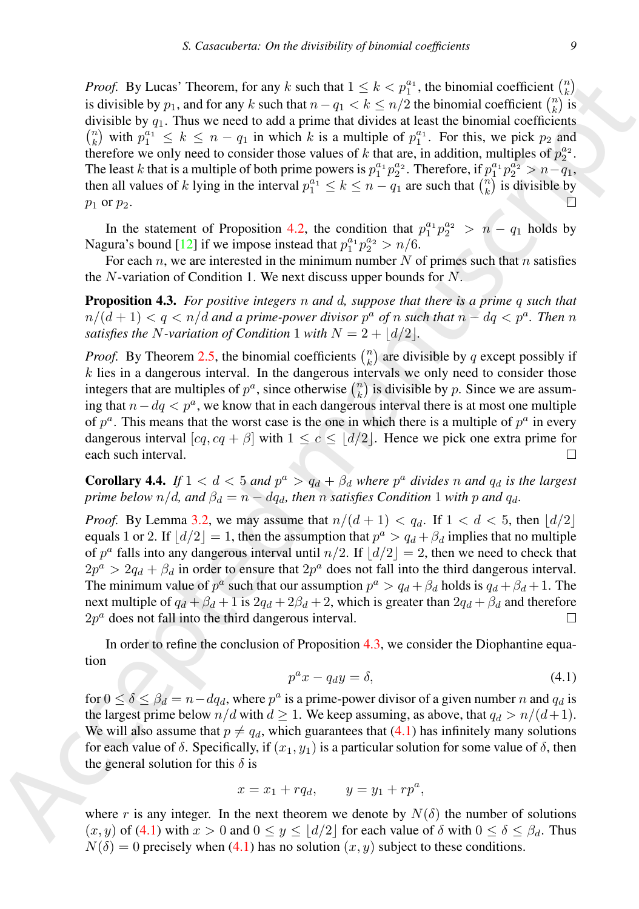Power, By Lacket Thosens, for any *k* such that  $1 \le k \le p^2$ ; the binomial coefficient ( $\frac{1}{12}$ ) is defining to the such that  $\frac{1}{2}$  is defined to the such that  $\frac{1}{2}$  is defined to  $\frac{1}{2}$ . ( $\frac{1}{4}$ ) with  $p^$ *Proof.* By Lucas' Theorem, for any k such that  $1 \leq k < p_1^{a_1}$ , the binomial coefficient  $\binom{n}{k}$ is divisible by  $p_1$ , and for any k such that  $n - q_1 < k \leq n/2$  the binomial coefficient  $\binom{n}{k}$  is divisible by  $q_1$ . Thus we need to add a prime that divides at least the binomial coefficients  $\binom{n}{k}$  with  $p_1^{a_1} \leq k \leq n - q_1$  in which k is a multiple of  $p_1^{a_1}$ . For this, we pick  $p_2$  and therefore we only need to consider those values of k that are, in addition, multiples of  $p_2^{a_2}$ . The least k that is a multiple of both prime powers is  $p_1^{a_1}p_2^{a_2}$ . Therefore, if  $p_1^{a_1}p_2^{a_2} > n-q_1$ , then all values of k lying in the interval  $p_1^{a_1} \le k \le n - q_1$  are such that  $\binom{n}{k}$  is divisible by  $p_1$  or  $p_2$ .

In the statement of Proposition 4.2, the condition that  $p_1^{a_1}p_2^{a_2} > n - q_1$  holds by Nagura's bound [12] if we impose instead that  $p_1^{a_1}p_2^{a_2} > n/6$ .

For each n, we are interested in the minimum number N of primes such that n satisfies the  $N$ -variation of Condition 1. We next discuss upper bounds for  $N$ .

<span id="page-8-0"></span>Proposition 4.3. *For positive integers* n *and* d*, suppose that there is a prime* q *such that*  $n/(d+1) < q < n/d$  and a prime-power divisor  $p^a$  of  $n$  such that  $n - dq < p^a$ . Then  $n$ *satisfies the N*-variation of Condition 1 with  $N = 2 + |d/2|$ .

*Proof.* By Theorem 2.5, the binomial coefficients  $\binom{n}{k}$  are divisible by q except possibly if  $k$  lies in a dangerous interval. In the dangerous intervals we only need to consider those integers that are multiples of  $p^a$ , since otherwise  $\binom{n}{k}$  is divisible by p. Since we are assuming that  $n - dq < p^a$ , we know that in each dangerous interval there is at most one multiple of  $p^a$ . This means that the worst case is the one in which there is a multiple of  $p^a$  in every dangerous interval  $[cq, cq + β]$  with  $1 \leq c \leq |d/2|$ . Hence we pick one extra prime for each such interval.

**Corollary 4.4.** If  $1 < d < 5$  and  $p^a > q_d + \beta_d$  where  $p^a$  divides n and  $q_d$  is the largest *prime below*  $n/d$ *, and*  $\beta_d = n - dq_d$ *, then n satisfies Condition* 1 *with p* and  $q_d$ *.* 

*Proof.* By Lemma 3.2, we may assume that  $n/(d+1) < q_d$ . If  $1 < d < 5$ , then  $\lfloor d/2 \rfloor$ equals 1 or 2. If  $\lfloor d/2 \rfloor = 1$ , then the assumption that  $p^a > q_d + \beta_d$  implies that no multiple of  $p^a$  falls into any dangerous interval until  $n/2$ . If  $\lfloor d/2 \rfloor = 2$ , then we need to check that  $2p^a > 2q_d + \beta_d$  in order to ensure that  $2p^a$  does not fall into the third dangerous interval. The minimum value of  $p^a$  such that our assumption  $p^a > q_d + \beta_d$  holds is  $q_d + \beta_d + 1$ . The next multiple of  $q_d + \beta_d + 1$  is  $2q_d + 2\beta_d + 2$ , which is greater than  $2q_d + \beta_d$  and therefore  $2p^a$  does not fall into the third dangerous interval.

In order to refine the conclusion of Proposition 4.3, we consider the Diophantine equation

<span id="page-8-1"></span>
$$
p^a x - q_d y = \delta,\tag{4.1}
$$

for  $0 \le \delta \le \beta_d = n - dq_d$ , where  $p^a$  is a prime-power divisor of a given number n and  $q_d$  is the largest prime below  $n/d$  with  $d \geq 1$ . We keep assuming, as above, that  $q_d > n/(d+1)$ . We will also assume that  $p \neq q_d$ , which guarantees that (4.1) has infinitely many solutions for each value of  $\delta$ . Specifically, if  $(x_1, y_1)$  is a particular solution for some value of  $\delta$ , then the general solution for this  $\delta$  is

$$
x = x_1 + r q_d, \qquad y = y_1 + r p^a,
$$

where r is any integer. In the next theorem we denote by  $N(\delta)$  the number of solutions  $(x, y)$  of (4.1) with  $x > 0$  and  $0 \le y \le |d/2|$  for each value of  $\delta$  with  $0 \le \delta \le \beta_d$ . Thus  $N(\delta) = 0$  precisely when [\(4.1\)](#page-8-1) has no solution  $(x, y)$  subject to these conditions.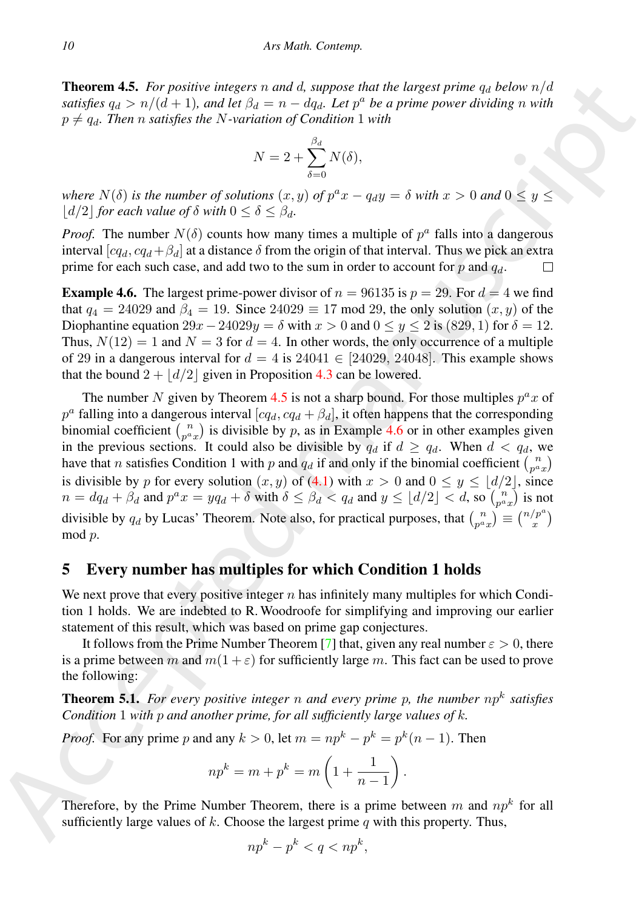<span id="page-9-1"></span>**Theorem 4.5.** For positive integers n and d, suppose that the largest prime  $q_d$  below  $n/d$ *satisfies*  $q_d > n/(d+1)$ , and let  $\beta_d = n - dq_d$ . Let  $p^a$  be a prime power dividing n with  $p \neq q_d$ . Then *n* satisfies the *N*-variation of Condition 1 with

$$
N = 2 + \sum_{\delta=0}^{\beta_d} N(\delta),
$$

*where*  $N(\delta)$  *is the number of solutions*  $(x, y)$  *of*  $p^a x - q_d y = \delta$  *with*  $x > 0$  *and*  $0 \le y \le$  $|d/2|$  *for each value of*  $\delta$  *with*  $0 \leq \delta \leq \beta_d$ *.* 

*Proof.* The number  $N(\delta)$  counts how many times a multiple of  $p^a$  falls into a dangerous interval  $[cq_d, cq_d + β_d]$  at a distance  $\delta$  from the origin of that interval. Thus we pick an extra prime for each such case, and add two to the sum in order to account for p and  $q_d$ .

<span id="page-9-2"></span>**Example 4.6.** The largest prime-power divisor of  $n = 96135$  is  $p = 29$ . For  $d = 4$  we find that  $q_4 = 24029$  and  $\beta_4 = 19$ . Since  $24029 \equiv 17 \mod 29$ , the only solution  $(x, y)$  of the Diophantine equation  $29x-24029y = \delta$  with  $x > 0$  and  $0 \le y \le 2$  is  $(829, 1)$  for  $\delta = 12$ . Thus,  $N(12) = 1$  and  $N = 3$  for  $d = 4$ . In other words, the only occurrence of a multiple of 29 in a dangerous interval for  $d = 4$  is 24041 ∈ [24029, 24048]. This example shows that the bound  $2 + |d/2|$  given in Proposition 4.3 can be lowered.

**Theore[m](#page-8-1) 4.5.** For possible integr[a](#page-9-2)te *n* and *A* anyonic but the logarith prior prior prior prior prior prior prior prior prior prior prior prior prior prior prior prior prior prior prior prior prior prior prior prior pr The number N given by Theorem 4.5 is not a sharp bound. For those multiples  $p^a x$  of  $p^a$  falling into a dangerous interval  $[cq_d, cq_d + β_d]$ , it often happens that the corresponding binomial coefficient  $\binom{n}{p^a x}$  is divisible by p, as in Example 4.6 or in other examples given in the previous sections. It could also be divisible by  $q_d$  if  $d \ge q_d$ . When  $d < q_d$ , we have that *n* satisfies Condition 1 with *p* and  $q_d$  if and only if the binomial coefficient  $\binom{n}{p^a x}$ is divisible by p for every solution  $(x, y)$  of  $(4.1)$  with  $x > 0$  and  $0 \le y \le |d/2|$ , since  $n = dq_d + \beta_d$  and  $p^a x = yq_d + \delta$  with  $\delta \le \beta_d < q_d$  and  $y \le \lfloor d/2 \rfloor < d$ , so  $\binom{n}{p^a x}$  is not divisible by  $q_d$  by Lucas' Theorem. Note also, for practical purposes, that  $\binom{n}{p^a x} \equiv \binom{n/p^a}{x}$ mod p.

### <span id="page-9-0"></span>5 Every number has multiples for which Condition 1 holds

We next prove that every positive integer  $n$  has infinitely many multiples for which Condition 1 holds. We are indebted to R. Woodroofe for simplifying and improving our earlier statement of this result, which was based on prime gap conjectures.

It follows from the Prime Number Theorem [7] that, given any real number  $\varepsilon > 0$ , there is a prime between m and  $m(1+\varepsilon)$  for sufficiently large m. This fact can be used to prove the following:

**Theorem 5.1.** For every positive integer n and every prime p, the number  $np^k$  satisfies *Condition* 1 *with* p *and another prime, for all sufficiently large values of* k*.*

*Proof.* For any prime p and any  $k > 0$ , let  $m = np^k - p^k = p^k(n-1)$ . Then

$$
np^k = m + p^k = m\left(1 + \frac{1}{n-1}\right).
$$

Therefore, by the Prime Number Theorem, there is a prime between m and  $np^k$  for all sufficiently large values of  $k$ . Choose the largest prime  $q$  with this property. Thus,

$$
np^k - p^k < q < np^k
$$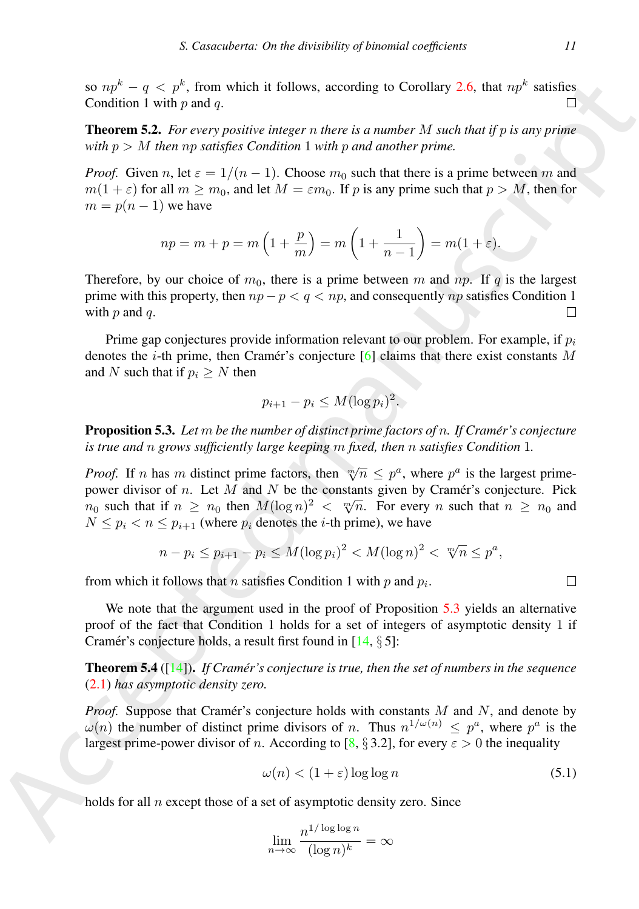so  $np^k - q < p^k$ , from which it follows, according to Corollary 2.6, that  $np^k$  satisfies Condition 1 with  $p$  and  $q$ .

Theorem 5.2. *For every positive integer* n *there is a number* M *such that if* p *is any prime with* p > M *then* np *satisfies Condition* 1 *with* p *and another prime.*

*Proof.* Given n, let  $\varepsilon = 1/(n-1)$ . Choose  $m_0$  such that there is a prime between m and  $m(1 + \varepsilon)$  for all  $m > m_0$ , and let  $M = \varepsilon m_0$ . If p is any prime such that  $p > M$ , then for  $m = p(n - 1)$  we have

$$
np = m + p = m\left(1 + \frac{p}{m}\right) = m\left(1 + \frac{1}{n-1}\right) = m(1 + \varepsilon).
$$

Therefore, by our choice of  $m_0$ , there is a prime between m and np. If q is the largest prime with this property, then  $np - p < q < np$ , and consequently np satisfies Condition 1 with  $p$  and  $q$ .

Prime gap conjectures provide information relevant to our problem. For example, if  $p_i$ denotes the *i*-th prime, then Cramér's conjecture [6] claims that there exist constants M and N such that if  $p_i > N$  then

$$
p_{i+1} - p_i \leq M (\log p_i)^2.
$$

<span id="page-10-0"></span>Proposition 5.3. *Let* m *be the number of distinct prime factors of* n*. If Cramer's conjecture ´ is true and* n *grows sufficiently large keeping* m *fixed, then* n *satisfies Condition* 1*.*

so  $n^2 = q \le p^2$ , from which it follows, according to Corollary 2.6, that  $np^2$  satisfies.<br>Condition 1 with p and  $q$ .<br>Theorems positive integral manuscript is a number M meth had if  $p$  is any prime<br>with  $p > M$  from the se *Proof.* If n has m distinct prime factors, then  $\sqrt[m]{n} \leq p^a$ , where  $p^a$  is the largest primepower divisor of n. Let  $M$  and  $N$  be the constants given by Cramér's conjecture. Pick power divisor of *n*. Let *M* and *N* be the constants given by Crainer's conjecture. Fick  $n_0$  such that if  $n \ge n_0$  then  $M(\log n)^2 < \sqrt[m]{n}$ . For every *n* such that  $n \ge n_0$  and  $N \leq p_i < n \leq p_{i+1}$  (where  $p_i$  denotes the *i*-th prime), we have

$$
n - p_i \le p_{i+1} - p_i \le M(\log p_i)^2 < M(\log n)^2 < \sqrt[m]{n} \le p^a,
$$

from which it follows that *n* satisfies Condition 1 with *p* and  $p_i$ .

We note that the argument used in the proof of Proposition 5.3 yields an alternative proof of the fact that Condition 1 holds for a set of integers of asymptotic density 1 if Cramér's conjecture holds, a result first found in  $[14, \S 5]$ :

**Theorem 5.4** ( $[14]$ ). *If Cramér's conjecture is true, then the set of numbers in the sequence* (2.1) *has asymptotic density zero.*

*Proof.* Suppose that Cramer's conjecture holds with constants  $M$  and  $N$ , and denote by  $\omega(n)$  the number of distinct prime divisors of n. Thus  $n^{1/\omega(n)} \leq p^a$ , where  $p^a$  is the largest prime-power divisor of n. According to [8,  $\S 3.2$ ], for every  $\varepsilon > 0$  the inequality

<span id="page-10-1"></span>
$$
\omega(n) < (1+\varepsilon)\log\log n \tag{5.1}
$$

holds for all n except those of a set of asymptotic density zero. Since

$$
\lim_{n \to \infty} \frac{n^{1/\log\log n}}{(\log n)^k} = \infty
$$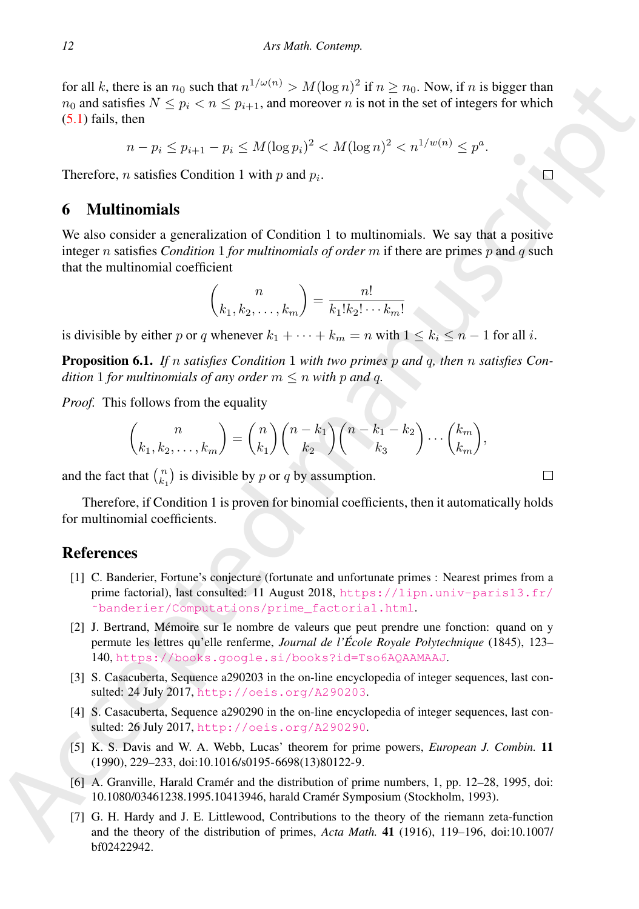for all k, there is an sy under that  $n^2/(n^2) > M(\log n)^2 / (n \ge n)$ . Now if n is a big set than  $n \ge n$  becomes the sta[te](https://lipn.univ-paris13.fr/~banderier/Computations/prime_factorial.html) materials of the state of integers for which<br>
(5.1) fails, then<br>  $n - p_1 \le n_1 \le n^2/(\log n)^2 < M(\log n)^2 < n^{1/(n/\log n)} \le$ for all k, there is an  $n_0$  such that  $n^{1/\omega(n)} > M(\log n)^2$  if  $n \ge n_0$ . Now, if n is bigger than  $n_0$  and satisfies  $N \leq p_i < n \leq p_{i+1}$ , and moreover n is not in the set of integers for which  $(5.1)$  fails, then

 $n - p_i \le p_{i+1} - p_i \le M(\log p_i)^2 < M(\log n)^2 < n^{1/w(n)} \le p^a$ .

Therefore, *n* satisfies Condition 1 with *p* and  $p_i$ .

# 6 Multinomials

We also consider a generalization of Condition 1 to multinomials. We say that a positive integer n satisfies *Condition* 1 *for multinomials of order* m if there are primes p and q such that the multinomial coefficient

$$
\binom{n}{k_1, k_2, \dots, k_m} = \frac{n!}{k_1! k_2! \cdots k_m!}
$$

is divisible by either p or q whenever  $k_1 + \cdots + k_m = n$  with  $1 \leq k_i \leq n - 1$  for all i.

Proposition 6.1. *If* n *satisfies Condition* 1 *with two primes* p *and* q*, then* n *satisfies Condition* 1 *for multinomials of any order*  $m \leq n$  *with* p *and* q.

*Proof.* This follows from the equality

$$
\binom{n}{k_1, k_2, \dots, k_m} = \binom{n}{k_1} \binom{n - k_1}{k_2} \binom{n - k_1 - k_2}{k_3} \cdots \binom{k_m}{k_m},
$$

and the fact that  $\binom{n}{k_1}$  is divisible by p or q by assumption.

Therefore, if Condition 1 is proven for binomial coefficients, then it automatically holds for multinomial coefficients.

### **References**

- <span id="page-11-3"></span>[1] C. Banderier, Fortune's conjecture (fortunate and unfortunate primes : Nearest primes from a prime factorial), last consulted: 11 August 2018, https://lipn.univ-paris13.fr/ ˜banderier/Computations/prime\_factorial.html.
- <span id="page-11-1"></span>[2] J. Bertrand, Memoire sur le nombre de valeurs que peut prendre une fonction: quand on y ´ permute les lettres qu'elle renferme, *Journal de l'Ecole Royale Polytechnique ´* (1845), 123– 140, https://books.google.si/books?id=Tso6AQAAMAAJ.
- <span id="page-11-2"></span>[3] S. Casacuberta, Sequence a290203 in the on-line encyclopedia of integer sequences, last consulted: 24 July 2017, http://oeis.org/A290203.
- <span id="page-11-4"></span>[4] S. Casacuberta, Sequence a290290 in the on-line encyclopedia of integer sequences, last consulted: 26 July 2017, http://oeis.org/A290290.
- <span id="page-11-0"></span>[5] K. S. Davis and W. A. Webb, Lucas' theorem for prime powers, *European J. Combin.* 11 (1990), 229–233, doi:10.1016/s0195-6698(13)80122-9.
- <span id="page-11-6"></span>[6] A. Granville, Harald Cramér and the distribution of prime numbers, 1, pp. 12–28, 1995, doi: 10.1080/03461238.1995.10413946, harald Cramer Symposium (Stockholm, 1993). ´
- <span id="page-11-5"></span>[7] G. H. Hardy and J. E. Littlewood, Contributions to the theory of the riemann zeta-function and the theory of the distribution of primes, *Acta Math.* 41 (1916), 119–196, doi:10.1007/ bf02422942.